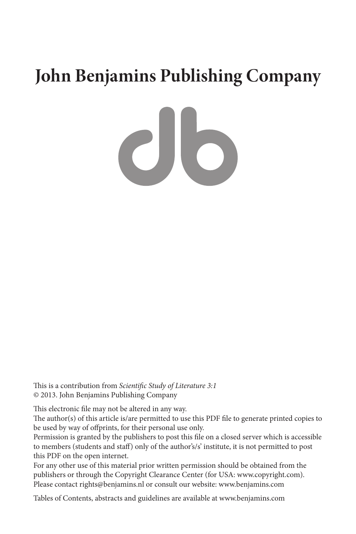## **John Benjamins Publishing Company**

 $c$ lo

This is a contribution from *Scientific Study of Literature 3:1* © 2013. John Benjamins Publishing Company

This electronic file may not be altered in any way.

The author(s) of this article is/are permitted to use this PDF file to generate printed copies to be used by way of offprints, for their personal use only.

Permission is granted by the publishers to post this file on a closed server which is accessible to members (students and staff) only of the author's/s' institute, it is not permitted to post this PDF on the open internet.

For any other use of this material prior written permission should be obtained from the publishers or through the Copyright Clearance Center (for USA: www.copyright.com). Please contact rights@benjamins.nl or consult our website: www.benjamins.com

Tables of Contents, abstracts and guidelines are available at www.benjamins.com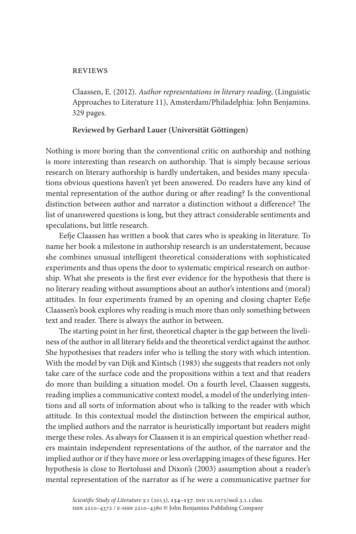## reviews

Claassen, E. (2012). *Author representations in literary reading*, (Linguistic Approaches to Literature 11), Amsterdam/Philadelphia: John Benjamins. 329 pages.

## **Reviewed by Gerhard Lauer (Universität Göttingen)**

Nothing is more boring than the conventional critic on authorship and nothing is more interesting than research on authorship. That is simply because serious research on literary authorship is hardly undertaken, and besides many speculations obvious questions haven't yet been answered. Do readers have any kind of mental representation of the author during or after reading? Is the conventional distinction between author and narrator a distinction without a difference? The list of unanswered questions is long, but they attract considerable sentiments and speculations, but little research.

Eefje Claassen has written a book that cares who is speaking in literature. To name her book a milestone in authorship research is an understatement, because she combines unusual intelligent theoretical considerations with sophisticated experiments and thus opens the door to systematic empirical research on authorship. What she presents is the first ever evidence for the hypothesis that there is no literary reading without assumptions about an author's intentions and (moral) attitudes. In four experiments framed by an opening and closing chapter Eefje Claassen's book explores why reading is much more than only something between text and reader. There is always the author in between.

The starting point in her first, theoretical chapter is the gap between the liveliness of the author in all literary fields and the theoretical verdict against the author. She hypothesises that readers infer who is telling the story with which intention. With the model by van Dijk and Kintsch (1983) she suggests that readers not only take care of the surface code and the propositions within a text and that readers do more than building a situation model. On a fourth level, Claassen suggests, reading implies a communicative context model, a model of the underlying intentions and all sorts of information about who is talking to the reader with which attitude. In this contextual model the distinction between the empirical author, the implied authors and the narrator is heuristically important but readers might merge these roles. As always for Claassen it is an empirical question whether readers maintain independent representations of the author, of the narrator and the implied author or if they have more or less overlapping images of these figures. Her hypothesis is close to Bortolussi and Dixon's (2003) assumption about a reader's mental representation of the narrator as if he were a communicative partner for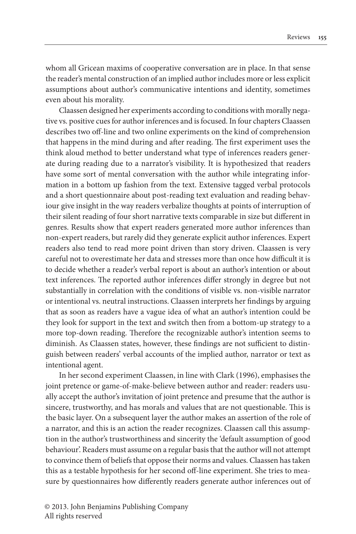whom all Gricean maxims of cooperative conversation are in place. In that sense the reader's mental construction of an implied author includes more or less explicit assumptions about author's communicative intentions and identity, sometimes even about his morality.

Claassen designed her experiments according to conditions with morally negative vs. positive cues for author inferences and is focused. In four chapters Claassen describes two off-line and two online experiments on the kind of comprehension that happens in the mind during and after reading. The first experiment uses the think aloud method to better understand what type of inferences readers generate during reading due to a narrator's visibility. It is hypothesized that readers have some sort of mental conversation with the author while integrating information in a bottom up fashion from the text. Extensive tagged verbal protocols and a short questionnaire about post-reading text evaluation and reading behaviour give insight in the way readers verbalize thoughts at points of interruption of their silent reading of four short narrative texts comparable in size but different in genres. Results show that expert readers generated more author inferences than non-expert readers, but rarely did they generate explicit author inferences. Expert readers also tend to read more point driven than story driven. Claassen is very careful not to overestimate her data and stresses more than once how difficult it is to decide whether a reader's verbal report is about an author's intention or about text inferences. The reported author inferences differ strongly in degree but not substantially in correlation with the conditions of visible vs. non-visible narrator or intentional vs. neutral instructions. Claassen interprets her findings by arguing that as soon as readers have a vague idea of what an author's intention could be they look for support in the text and switch then from a bottom-up strategy to a more top-down reading. Therefore the recognizable author's intention seems to diminish. As Claassen states, however, these findings are not sufficient to distinguish between readers' verbal accounts of the implied author, narrator or text as intentional agent.

In her second experiment Claassen, in line with Clark (1996), emphasises the joint pretence or game-of-make-believe between author and reader: readers usually accept the author's invitation of joint pretence and presume that the author is sincere, trustworthy, and has morals and values that are not questionable. This is the basic layer. On a subsequent layer the author makes an assertion of the role of a narrator, and this is an action the reader recognizes. Claassen call this assumption in the author's trustworthiness and sincerity the 'default assumption of good behaviour'. Readers must assume on a regular basis that the author will not attempt to convince them of beliefs that oppose their norms and values. Claassen has taken this as a testable hypothesis for her second off-line experiment. She tries to measure by questionnaires how differently readers generate author inferences out of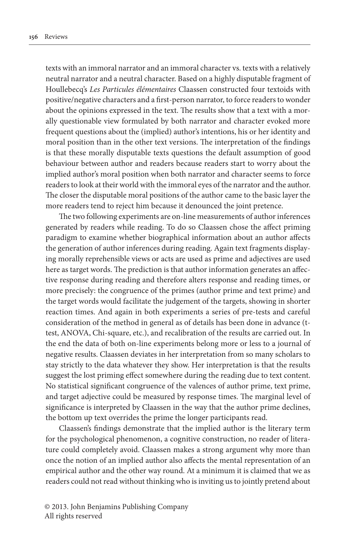texts with an immoral narrator and an immoral character vs. texts with a relatively neutral narrator and a neutral character. Based on a highly disputable fragment of Houllebecq's *Les Particules élémentaires* Claassen constructed four textoids with positive/negative characters and a first-person narrator, to force readers to wonder about the opinions expressed in the text. The results show that a text with a morally questionable view formulated by both narrator and character evoked more frequent questions about the (implied) author's intentions, his or her identity and moral position than in the other text versions. The interpretation of the findings is that these morally disputable texts questions the default assumption of good behaviour between author and readers because readers start to worry about the implied author's moral position when both narrator and character seems to force readers to look at their world with the immoral eyes of the narrator and the author. The closer the disputable moral positions of the author came to the basic layer the more readers tend to reject him because it denounced the joint pretence.

The two following experiments are on-line measurements of author inferences generated by readers while reading. To do so Claassen chose the affect priming paradigm to examine whether biographical information about an author affects the generation of author inferences during reading. Again text fragments displaying morally reprehensible views or acts are used as prime and adjectives are used here as target words. The prediction is that author information generates an affective response during reading and therefore alters response and reading times, or more precisely: the congruence of the primes (author prime and text prime) and the target words would facilitate the judgement of the targets, showing in shorter reaction times. And again in both experiments a series of pre-tests and careful consideration of the method in general as of details has been done in advance (ttest, ANOVA, Chi-square, etc.), and recalibration of the results are carried out. In the end the data of both on-line experiments belong more or less to a journal of negative results. Claassen deviates in her interpretation from so many scholars to stay strictly to the data whatever they show. Her interpretation is that the results suggest the lost priming effect somewhere during the reading due to text content. No statistical significant congruence of the valences of author prime, text prime, and target adjective could be measured by response times. The marginal level of significance is interpreted by Claassen in the way that the author prime declines, the bottom up text overrides the prime the longer participants read.

Claassen's findings demonstrate that the implied author is the literary term for the psychological phenomenon, a cognitive construction, no reader of literature could completely avoid. Claassen makes a strong argument why more than once the notion of an implied author also affects the mental representation of an empirical author and the other way round. At a minimum it is claimed that we as readers could not read without thinking who is inviting us to jointly pretend about